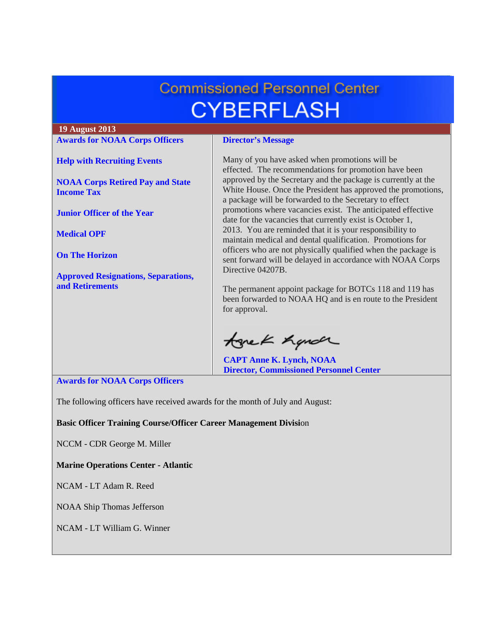# **Commissioned Personnel Center CYBERFLASH**

#### **19 August 2013 [Awards for NOAA Corps Officers](#page-0-0) Director's Message** Many of you have asked when promotions will be **[Help with Recruiting Events](#page-1-0)** effected. The recommendations for promotion have been approved by the Secretary and the package is currently at the **[NOAA Corps Retired Pay and State](#page-1-1)**  White House. Once the President has approved the promotions, **[Income Tax](#page-1-1)** a package will be forwarded to the Secretary to effect promotions where vacancies exist. The anticipated effective **[Junior Officer of the Year](#page-2-0)** date for the vacancies that currently exist is October 1, 2013. You are reminded that it is your responsibility to **[Medical OPF](#page-3-0)** maintain medical and dental qualification. Promotions for officers who are not physically qualified when the package is **[On The Horizon](#page-3-1)** sent forward will be delayed in accordance with NOAA Corps Directive 04207B. **[Approved Resignations, Separations,](#page-3-2)  [and Retirements](#page-3-2)** The permanent appoint package for BOTCs 118 and 119 has been forwarded to NOAA HQ and is en route to the President for approval. tonek hande

**CAPT Anne K. Lynch, NOAA Director, Commissioned Personnel Center**

<span id="page-0-0"></span>**Awards for NOAA Corps Officers**

The following officers have received awards for the month of July and August:

**Basic Officer Training Course/Officer Career Management Divisi**on

NCCM - CDR George M. Miller

**Marine Operations Center - Atlantic**

NCAM - LT Adam R. Reed

NOAA Ship Thomas Jefferson

NCAM - LT William G. Winner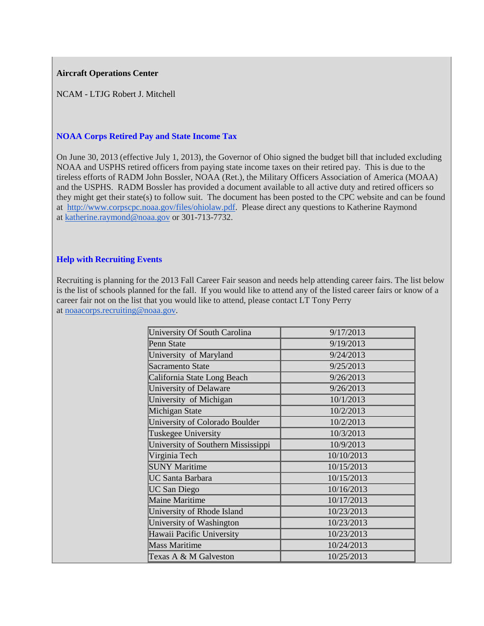### **Aircraft Operations Center**

NCAM - LTJG Robert J. Mitchell

# <span id="page-1-1"></span>**NOAA Corps Retired Pay and State Income Tax**

On June 30, 2013 (effective July 1, 2013), the Governor of Ohio signed the budget bill that included excluding NOAA and USPHS retired officers from paying state income taxes on their retired pay. This is due to the tireless efforts of RADM John Bossler, NOAA (Ret.), the Military Officers Association of America (MOAA) and the USPHS. RADM Bossler has provided a document available to all active duty and retired officers so they might get their state(s) to follow suit. The document has been posted to the CPC website and can be found at [http://www.corpscpc.noaa.gov/files/ohiolaw.pdf.](http://www.corpscpc.noaa.gov/files/ohiolaw.pdf) Please direct any questions to Katherine Raymond at [katherine.raymond@noaa.gov](mailto:katherine.raymond@noaa.gov) or 301-713-7732.

#### <span id="page-1-0"></span>**Help with Recruiting Events**

Recruiting is planning for the 2013 Fall Career Fair season and needs help attending career fairs. The list below is the list of schools planned for the fall. If you would like to attend any of the listed career fairs or know of a career fair not on the list that you would like to attend, please contact LT Tony Perry at [noaacorps.recruiting@noaa.gov.](mailto:noaacorps.recruiting@noaa.gov)

| University Of South Carolina       | 9/17/2013  |
|------------------------------------|------------|
| Penn State                         | 9/19/2013  |
| University of Maryland             | 9/24/2013  |
| Sacramento State                   | 9/25/2013  |
| California State Long Beach        | 9/26/2013  |
| University of Delaware             | 9/26/2013  |
| University of Michigan             | 10/1/2013  |
| Michigan State                     | 10/2/2013  |
| University of Colorado Boulder     | 10/2/2013  |
| Tuskegee University                | 10/3/2013  |
| University of Southern Mississippi | 10/9/2013  |
| Virginia Tech                      | 10/10/2013 |
| <b>SUNY Maritime</b>               | 10/15/2013 |
| <b>UC Santa Barbara</b>            | 10/15/2013 |
| <b>UC San Diego</b>                | 10/16/2013 |
| Maine Maritime                     | 10/17/2013 |
| University of Rhode Island         | 10/23/2013 |
| University of Washington           | 10/23/2013 |
| Hawaii Pacific University          | 10/23/2013 |
| <b>Mass Maritime</b>               | 10/24/2013 |
| Texas A & M Galveston              | 10/25/2013 |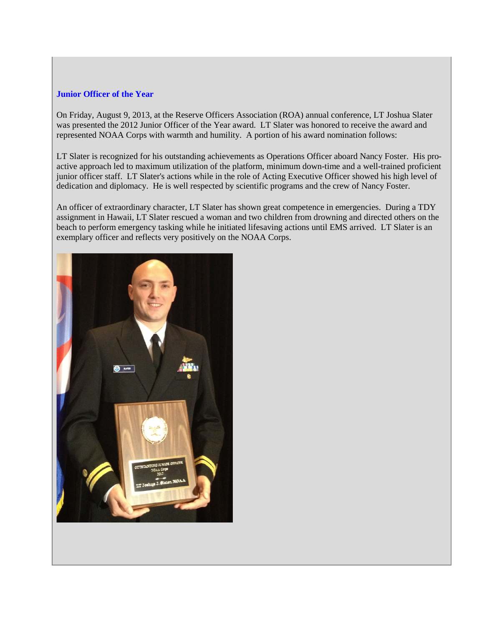#### <span id="page-2-0"></span>**Junior Officer of the Year**

On Friday, August 9, 2013, at the Reserve Officers Association (ROA) annual conference, LT Joshua Slater was presented the 2012 Junior Officer of the Year award. LT Slater was honored to receive the award and represented NOAA Corps with warmth and humility. A portion of his award nomination follows:

LT Slater is recognized for his outstanding achievements as Operations Officer aboard Nancy Foster. His proactive approach led to maximum utilization of the platform, minimum down-time and a well-trained proficient junior officer staff. LT Slater's actions while in the role of Acting Executive Officer showed his high level of dedication and diplomacy. He is well respected by scientific programs and the crew of Nancy Foster.

An officer of extraordinary character, LT Slater has shown great competence in emergencies. During a TDY assignment in Hawaii, LT Slater rescued a woman and two children from drowning and directed others on the beach to perform emergency tasking while he initiated lifesaving actions until EMS arrived. LT Slater is an exemplary officer and reflects very positively on the NOAA Corps.